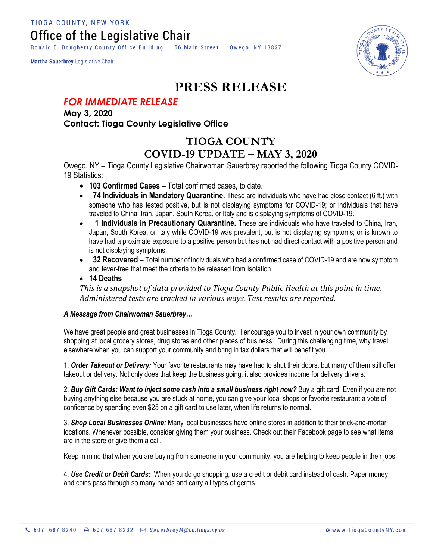Ronald E. Dougherty County Office Building 56 Main Street Owego, NY 13827

Martha Sauerbrey Legislative Chair



## **PRESS RELEASE**

## *FOR IMMEDIATE RELEASE*

**May 3, 2020 Contact: Tioga County Legislative Office**

## **TIOGA COUNTY COVID-19 UPDATE – MAY 3, 2020**

Owego, NY – Tioga County Legislative Chairwoman Sauerbrey reported the following Tioga County COVID-19 Statistics:

- **103 Confirmed Cases –** Total confirmed cases, to date.
- **74 Individuals in Mandatory Quarantine.** These are individuals who have had close contact (6 ft.) with someone who has tested positive, but is not displaying symptoms for COVID-19; or individuals that have traveled to China, Iran, Japan, South Korea, or Italy and is displaying symptoms of COVID-19.
- **1 Individuals in Precautionary Quarantine.** These are individuals who have traveled to China, Iran, Japan, South Korea, or Italy while COVID-19 was prevalent, but is not displaying symptoms; or is known to have had a proximate exposure to a positive person but has not had direct contact with a positive person and is not displaying symptoms.
- **32 Recovered** Total number of individuals who had a confirmed case of COVID-19 and are now symptom and fever-free that meet the criteria to be released from Isolation.
- **14 Deaths**

*This is a snapshot of data provided to Tioga County Public Health at this point in time. Administered tests are tracked in various ways. Test results are reported.*

## *A Message from Chairwoman Sauerbrey…*

We have great people and great businesses in Tioga County. I encourage you to invest in your own community by shopping at local grocery stores, drug stores and other places of business. During this challenging time, why travel elsewhere when you can support your community and bring in tax dollars that will benefit you.

1. *Order Takeout or Delivery:* Your favorite restaurants may have had to shut their doors, but many of them still offer takeout or delivery. Not only does that keep the business going, it also provides income for delivery drivers.

2. *Buy Gift Cards: Want to inject some cash into a small business right now?* Buy a gift card. Even if you are not buying anything else because you are stuck at home, you can give your local shops or favorite restaurant a vote of confidence by spending even \$25 on a gift card to use later, when life returns to normal.

3. *Shop Local Businesses Online:* Many local businesses have online stores in addition to their brick-and-mortar locations. Whenever possible, consider giving them your business. Check out their Facebook page to see what items are in the store or give them a call.

Keep in mind that when you are buying from someone in your community, you are helping to keep people in their jobs.

4. *Use Credit or Debit Cards:* When you do go shopping, use a credit or debit card instead of cash. Paper money and coins pass through so many hands and carry all types of germs.